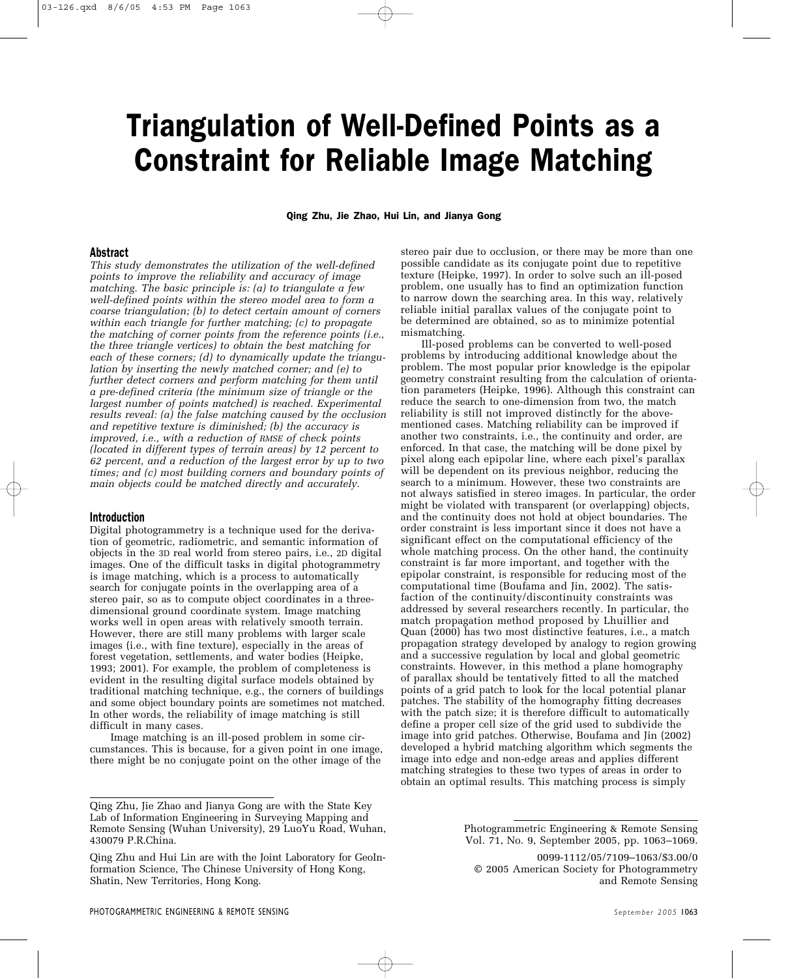# Triangulation of Well-Defined Points as a Constraint for Reliable Image Matching

Qing Zhu, Jie Zhao, Hui Lin, and Jianya Gong

## Abstract

*This study demonstrates the utilization of the well-defined points to improve the reliability and accuracy of image matching. The basic principle is: (a) to triangulate a few well-defined points within the stereo model area to form a coarse triangulation; (b) to detect certain amount of corners within each triangle for further matching; (c) to propagate the matching of corner points from the reference points (i.e., the three triangle vertices) to obtain the best matching for each of these corners; (d) to dynamically update the triangulation by inserting the newly matched corner; and (e) to further detect corners and perform matching for them until a pre-defined criteria (the minimum size of triangle or the largest number of points matched) is reached. Experimental results reveal: (a) the false matching caused by the occlusion and repetitive texture is diminished; (b) the accuracy is improved, i.e., with a reduction of RMSE of check points (located in different types of terrain areas) by 12 percent to 62 percent, and a reduction of the largest error by up to two times; and (c) most building corners and boundary points of main objects could be matched directly and accurately.*

### Introduction

Digital photogrammetry is a technique used for the derivation of geometric, radiometric, and semantic information of objects in the 3D real world from stereo pairs, i.e., 2D digital images. One of the difficult tasks in digital photogrammetry is image matching, which is a process to automatically search for conjugate points in the overlapping area of a stereo pair, so as to compute object coordinates in a threedimensional ground coordinate system. Image matching works well in open areas with relatively smooth terrain. However, there are still many problems with larger scale images (i.e., with fine texture), especially in the areas of forest vegetation, settlements, and water bodies (Heipke, 1993; 2001). For example, the problem of completeness is evident in the resulting digital surface models obtained by traditional matching technique, e.g., the corners of buildings and some object boundary points are sometimes not matched. In other words, the reliability of image matching is still difficult in many cases.

Image matching is an ill-posed problem in some circumstances. This is because, for a given point in one image, there might be no conjugate point on the other image of the

stereo pair due to occlusion, or there may be more than one possible candidate as its conjugate point due to repetitive texture (Heipke, 1997). In order to solve such an ill-posed problem, one usually has to find an optimization function to narrow down the searching area. In this way, relatively reliable initial parallax values of the conjugate point to be determined are obtained, so as to minimize potential mismatching.

Ill-posed problems can be converted to well-posed problems by introducing additional knowledge about the problem. The most popular prior knowledge is the epipolar geometry constraint resulting from the calculation of orientation parameters (Heipke, 1996). Although this constraint can reduce the search to one-dimension from two, the match reliability is still not improved distinctly for the abovementioned cases. Matching reliability can be improved if another two constraints, i.e., the continuity and order, are enforced. In that case, the matching will be done pixel by pixel along each epipolar line, where each pixel's parallax will be dependent on its previous neighbor, reducing the search to a minimum. However, these two constraints are not always satisfied in stereo images. In particular, the order might be violated with transparent (or overlapping) objects, and the continuity does not hold at object boundaries. The order constraint is less important since it does not have a significant effect on the computational efficiency of the whole matching process. On the other hand, the continuity constraint is far more important, and together with the epipolar constraint, is responsible for reducing most of the computational time (Boufama and Jin, 2002). The satisfaction of the continuity/discontinuity constraints was addressed by several researchers recently. In particular, the match propagation method proposed by Lhuillier and Quan (2000) has two most distinctive features, i.e., a match propagation strategy developed by analogy to region growing and a successive regulation by local and global geometric constraints. However, in this method a plane homography of parallax should be tentatively fitted to all the matched points of a grid patch to look for the local potential planar patches. The stability of the homography fitting decreases with the patch size; it is therefore difficult to automatically define a proper cell size of the grid used to subdivide the image into grid patches. Otherwise, Boufama and Jin (2002) developed a hybrid matching algorithm which segments the image into edge and non-edge areas and applies different matching strategies to these two types of areas in order to obtain an optimal results. This matching process is simply

Qing Zhu, Jie Zhao and Jianya Gong are with the State Key Lab of Information Engineering in Surveying Mapping and Remote Sensing (Wuhan University), 29 LuoYu Road, Wuhan, 430079 P.R.China.

Qing Zhu and Hui Lin are with the Joint Laboratory for GeoInformation Science, The Chinese University of Hong Kong, Shatin, New Territories, Hong Kong.

Photogrammetric Engineering & Remote Sensing Vol. 71, No. 9, September 2005, pp. 1063–1069.

<sup>0099-1112/05/7109–1063/\$3.00/0</sup> © 2005 American Society for Photogrammetry and Remote Sensing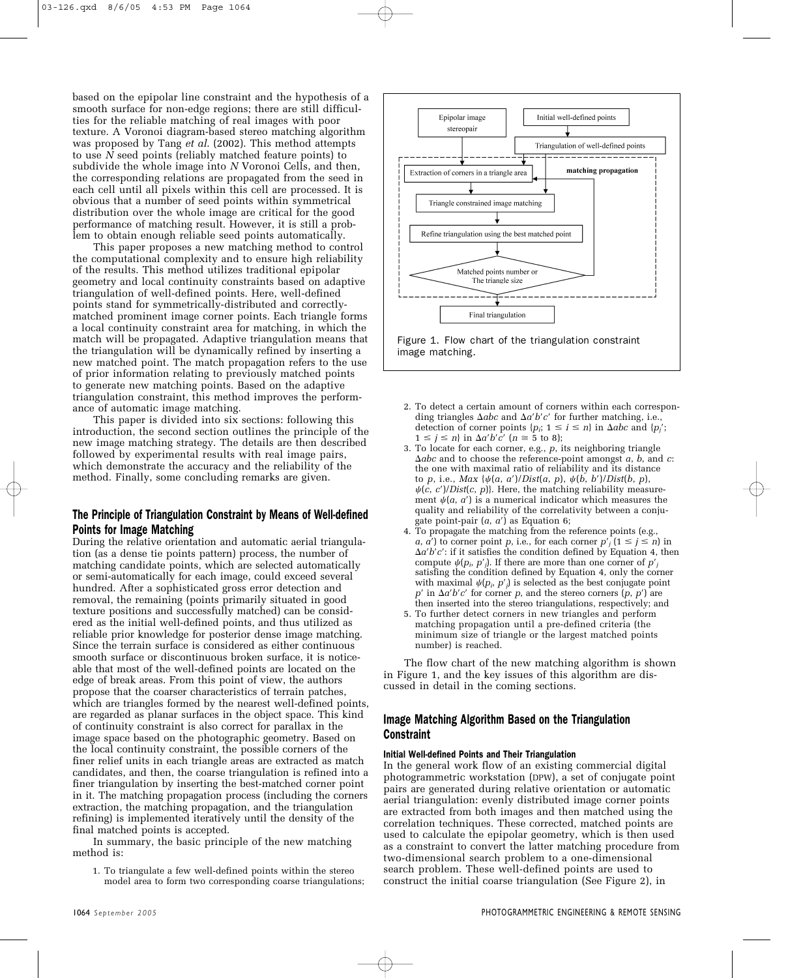based on the epipolar line constraint and the hypothesis of a smooth surface for non-edge regions; there are still difficulties for the reliable matching of real images with poor texture. A Voronoi diagram-based stereo matching algorithm was proposed by Tang *et al*. (2002). This method attempts to use *N* seed points (reliably matched feature points) to subdivide the whole image into *N* Voronoi Cells, and then, the corresponding relations are propagated from the seed in each cell until all pixels within this cell are processed. It is obvious that a number of seed points within symmetrical distribution over the whole image are critical for the good performance of matching result. However, it is still a problem to obtain enough reliable seed points automatically.

This paper proposes a new matching method to control the computational complexity and to ensure high reliability of the results. This method utilizes traditional epipolar geometry and local continuity constraints based on adaptive triangulation of well-defined points. Here, well-defined points stand for symmetrically-distributed and correctlymatched prominent image corner points. Each triangle forms a local continuity constraint area for matching, in which the match will be propagated. Adaptive triangulation means that the triangulation will be dynamically refined by inserting a new matched point. The match propagation refers to the use of prior information relating to previously matched points to generate new matching points. Based on the adaptive triangulation constraint, this method improves the performance of automatic image matching.

This paper is divided into six sections: following this introduction, the second section outlines the principle of the new image matching strategy. The details are then described followed by experimental results with real image pairs, which demonstrate the accuracy and the reliability of the method. Finally, some concluding remarks are given.

# The Principle of Triangulation Constraint by Means of Well-defined Points for Image Matching

During the relative orientation and automatic aerial triangulation (as a dense tie points pattern) process, the number of matching candidate points, which are selected automatically or semi-automatically for each image, could exceed several hundred. After a sophisticated gross error detection and removal, the remaining (points primarily situated in good texture positions and successfully matched) can be considered as the initial well-defined points, and thus utilized as reliable prior knowledge for posterior dense image matching. Since the terrain surface is considered as either continuous smooth surface or discontinuous broken surface, it is noticeable that most of the well-defined points are located on the edge of break areas. From this point of view, the authors propose that the coarser characteristics of terrain patches, which are triangles formed by the nearest well-defined points, are regarded as planar surfaces in the object space. This kind of continuity constraint is also correct for parallax in the image space based on the photographic geometry. Based on the local continuity constraint, the possible corners of the finer relief units in each triangle areas are extracted as match candidates, and then, the coarse triangulation is refined into a finer triangulation by inserting the best-matched corner point in it. The matching propagation process (including the corners extraction, the matching propagation, and the triangulation refining) is implemented iteratively until the density of the final matched points is accepted.

In summary, the basic principle of the new matching method is:

1. To triangulate a few well-defined points within the stereo model area to form two corresponding coarse triangulations;



- 2. To detect a certain amount of corners within each corresponding triangles  $\Delta abc$  and  $\Delta a'b'c'$  for further matching, i.e., detection of corner points  $\{p_i; 1 \le i \le n\}$  in  $\Delta abc$  and  $\{p'_i;$  $1 \leq j \leq n$  in  $\Delta a'b'c'$  ( $n \cong 5$  to 8);
- 3. To locate for each corner, e.g., *p*, its neighboring triangle *abc* and to choose the reference-point amongst *a*, *b*, and *c*: the one with maximal ratio of reliability and its distance to *p*, i.e., *Max* {(*a*, *a*-)/*Dist*(*a*, *p*), (*b*, *b*-)/*Dist*(*b*, *p*),  $\psi(c, c')$ *Dist*(*c*, *p*)}. Here, the matching reliability measurement  $\psi(a, a')$  is a numerical indicator which measures the quality and reliability of the correlativity between a conjugate point-pair (*a*, *a*-) as Equation 6;
- 4. To propagate the matching from the reference points (e.g., *a*, *a*') to corner point *p*, i.e., for each corner  $p'$ <sub>*j*</sub> (1  $\leq$  *j*  $\leq$  *n*) in  $\Delta a'b'c'$ : if it satisfies the condition defined by Equation 4, then compute  $\psi(p_i, p'_j)$ . If there are more than one corner of  $p'_j$ satisfing the condition defined by Equation 4, only the corner with maximal  $\psi(p_i, p'_j)$  is selected as the best conjugate point  $p'$  in  $\Delta a'b'c'$  for corner *p*, and the stereo corners  $(p, p')$  are then inserted into the stereo triangulations, respectively; and
- 5. To further detect corners in new triangles and perform matching propagation until a pre-defined criteria (the minimum size of triangle or the largest matched points number) is reached.

The flow chart of the new matching algorithm is shown in Figure 1, and the key issues of this algorithm are discussed in detail in the coming sections.

# Image Matching Algorithm Based on the Triangulation Constraint

### Initial Well-defined Points and Their Triangulation

In the general work flow of an existing commercial digital photogrammetric workstation (DPW), a set of conjugate point pairs are generated during relative orientation or automatic aerial triangulation: evenly distributed image corner points are extracted from both images and then matched using the correlation techniques. These corrected, matched points are used to calculate the epipolar geometry, which is then used as a constraint to convert the latter matching procedure from two-dimensional search problem to a one-dimensional search problem. These well-defined points are used to construct the initial coarse triangulation (See Figure 2), in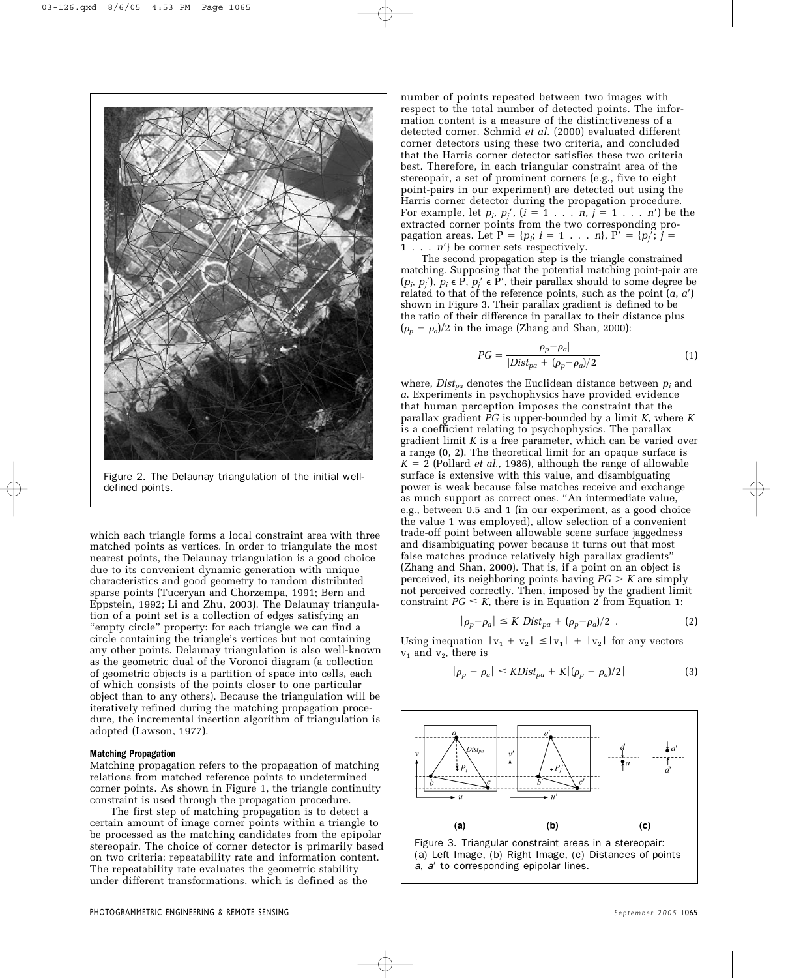

Figure 2. The Delaunay triangulation of the initial welldefined points.

which each triangle forms a local constraint area with three matched points as vertices. In order to triangulate the most nearest points, the Delaunay triangulation is a good choice due to its convenient dynamic generation with unique characteristics and good geometry to random distributed sparse points (Tuceryan and Chorzempa, 1991; Bern and Eppstein, 1992; Li and Zhu, 2003). The Delaunay triangulation of a point set is a collection of edges satisfying an "empty circle" property: for each triangle we can find a circle containing the triangle's vertices but not containing any other points. Delaunay triangulation is also well-known as the geometric dual of the Voronoi diagram (a collection of geometric objects is a partition of space into cells, each of which consists of the points closer to one particular object than to any others). Because the triangulation will be iteratively refined during the matching propagation procedure, the incremental insertion algorithm of triangulation is adopted (Lawson, 1977).

#### Matching Propagation

Matching propagation refers to the propagation of matching relations from matched reference points to undetermined corner points. As shown in Figure 1, the triangle continuity constraint is used through the propagation procedure.

The first step of matching propagation is to detect a certain amount of image corner points within a triangle to be processed as the matching candidates from the epipolar stereopair. The choice of corner detector is primarily based on two criteria: repeatability rate and information content. The repeatability rate evaluates the geometric stability under different transformations, which is defined as the

number of points repeated between two images with respect to the total number of detected points. The information content is a measure of the distinctiveness of a detected corner. Schmid *et al*. (2000) evaluated different corner detectors using these two criteria, and concluded that the Harris corner detector satisfies these two criteria best. Therefore, in each triangular constraint area of the stereopair, a set of prominent corners (e.g., five to eight point-pairs in our experiment) are detected out using the Harris corner detector during the propagation procedure. For example, let  $p_i$ ,  $p'_j$ ,  $(i = 1 \ldots n, j = 1 \ldots n')$  be the extracted corner points from the two corresponding propagation areas. Let  $P = \{p_i; i = 1 \ldots n\}$ ,  $P' = \{p'_j; j = 1\}$ 1... *n*-} be corner sets respectively.

The second propagation step is the triangle constrained matching. Supposing that the potential matching point-pair are  $(p_i, p'_i)$ ,  $p_i \in P$ ,  $p''_i \in P'$ , their parallax should to some degree be related to that of the reference points, such as the point (*a*, *a*-) shown in Figure 3. Their parallax gradient is defined to be the ratio of their difference in parallax to their distance plus  $(\rho_p - \rho_a)/2$  in the image (Zhang and Shan, 2000):

$$
PG = \frac{| \rho_p - \rho_a |}{|Dist_{pa} + (\rho_p - \rho_a)/2|} \tag{1}
$$

where,  $Dist_{pa}$  denotes the Euclidean distance between  $p_i$  and *a*. Experiments in psychophysics have provided evidence that human perception imposes the constraint that the parallax gradient *PG* is upper-bounded by a limit *K*, where *K* is a coefficient relating to psychophysics. The parallax gradient limit *K* is a free parameter, which can be varied over a range (0, 2). The theoretical limit for an opaque surface is  $K = 2$  (Pollard *et al.*, 1986), although the range of allowable surface is extensive with this value, and disambiguating power is weak because false matches receive and exchange as much support as correct ones. "An intermediate value, e.g., between 0.5 and 1 (in our experiment, as a good choice the value 1 was employed), allow selection of a convenient trade-off point between allowable scene surface jaggedness and disambiguating power because it turns out that most false matches produce relatively high parallax gradients" (Zhang and Shan, 2000). That is, if a point on an object is perceived, its neighboring points having  $PG > K$  are simply not perceived correctly. Then, imposed by the gradient limit constraint  $PG \leq K$ , there is in Equation 2 from Equation 1:

$$
|\rho_p - \rho_a| \le K |Dist_{pa} + (\rho_p - \rho_a)/2|.
$$
 (2)

Using inequation  $|v_1 + v_2| \le |v_1| + |v_2|$  for any vectors  $v_1$  and  $v_2$ , there is

$$
|\rho_p - \rho_a| \leq KDist_{pa} + K |(\rho_p - \rho_a)/2| \tag{3}
$$



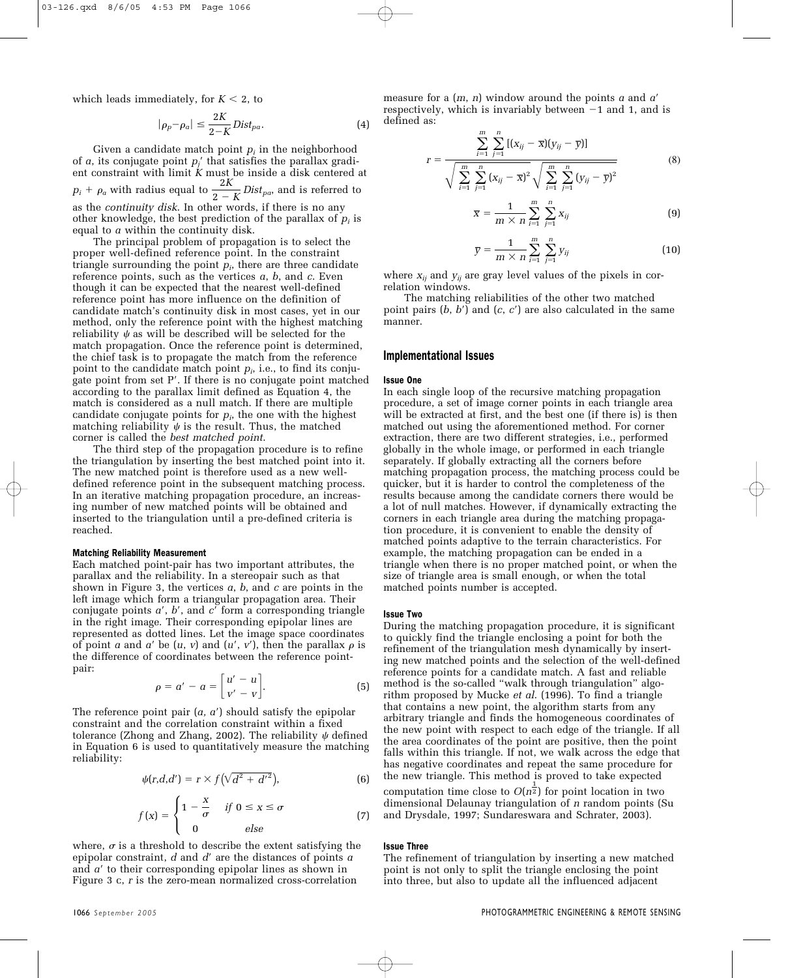which leads immediately, for  $K < 2$ , to

$$
|\rho_p - \rho_a| \le \frac{2K}{2 - K} Dist_{pa}.
$$
 (4)

Given a candidate match point  $p_i$  in the neighborhood of  $a$ , its conjugate point  $p'_i$  that satisfies the parallax gradient constraint with limit *K* must be inside a disk centered at  $p_i + \rho_a$  with radius equal to  $\frac{2K}{2-K}$  *Dist<sub>pa</sub>*, and is referred to as the *continuity disk*. In other words, if there is no any other knowledge, the best prediction of the parallax of  $p_i$  is equal to *a* within the continuity disk.

The principal problem of propagation is to select the proper well-defined reference point. In the constraint triangle surrounding the point  $p_i$ , there are three candidate reference points, such as the vertices *a*, *b*, and *c*. Even though it can be expected that the nearest well-defined reference point has more influence on the definition of candidate match's continuity disk in most cases, yet in our method, only the reference point with the highest matching reliability  $\psi$  as will be described will be selected for the match propagation. Once the reference point is determined, the chief task is to propagate the match from the reference point to the candidate match point  $p_i$ , i.e., to find its conjugate point from set P'. If there is no conjugate point matched according to the parallax limit defined as Equation 4, the match is considered as a null match. If there are multiple candidate conjugate points for  $p_i$ , the one with the highest matching reliability  $\psi$  is the result. Thus, the matched corner is called the *best matched point*.

The third step of the propagation procedure is to refine the triangulation by inserting the best matched point into it. The new matched point is therefore used as a new welldefined reference point in the subsequent matching process. In an iterative matching propagation procedure, an increasing number of new matched points will be obtained and inserted to the triangulation until a pre-defined criteria is reached.

#### Matching Reliability Measurement

Each matched point-pair has two important attributes, the parallax and the reliability. In a stereopair such as that shown in Figure 3, the vertices *a*, *b*, and *c* are points in the left image which form a triangular propagation area. Their conjugate points  $a'$ ,  $b'$ , and  $c'$  form a corresponding triangle in the right image. Their corresponding epipolar lines are represented as dotted lines. Let the image space coordinates of point  $a$  and  $a'$  be ( $u$ ,  $v$ ) and ( $u'$ ,  $v'$ ), then the parallax  $\rho$  is the difference of coordinates between the reference pointpair:

$$
\rho = a' - a = \begin{bmatrix} u' - u \\ v' - v \end{bmatrix}.
$$
 (5)

The reference point pair  $(a, a')$  should satisfy the epipolar constraint and the correlation constraint within a fixed tolerance (Zhong and Zhang, 2002). The reliability  $\psi$  defined in Equation 6 is used to quantitatively measure the matching reliability:

$$
\psi(r,d,d') = r \times f\left(\sqrt{d^2 + d'^2}\right),\tag{6}
$$

$$
f(x) = \begin{cases} 1 - \frac{x}{\sigma} & \text{if } 0 \le x \le \sigma \\ 0 & \text{else} \end{cases}
$$
 (7)

where,  $\sigma$  is a threshold to describe the extent satisfying the epipolar constraint, *d* and *d'* are the distances of points *a* and *a'* to their corresponding epipolar lines as shown in Figure 3 c, *r* is the zero-mean normalized cross-correlation

measure for a (*m*, *n*) window around the points *a* and *a* respectively, which is invariably between  $-1$  and 1, and is defined as:

$$
r = \frac{\sum_{j=1}^{m} \sum_{j=1}^{n} [(x_{ij} - \overline{x})(y_{ij} - \overline{y})]}{\sqrt{\sum_{i=1}^{m} \sum_{j=1}^{n} (x_{ij} - \overline{x})^{2}} \sqrt{\sum_{i=1}^{m} \sum_{j=1}^{n} (y_{ij} - \overline{y})^{2}}}
$$
(8)

$$
\bar{x} = \frac{1}{m \times n} \sum_{i=1}^{m} \sum_{j=1}^{n} x_{ij}
$$
 (9)

$$
\bar{y} = \frac{1}{m \times n} \sum_{i=1}^{m} \sum_{j=1}^{n} y_{ij}
$$
 (10)

where  $x_{ii}$  and  $y_{ii}$  are gray level values of the pixels in correlation windows.

The matching reliabilities of the other two matched point pairs  $(b, b')$  and  $(c, c')$  are also calculated in the same manner.

## Implementational Issues

#### Issue One

In each single loop of the recursive matching propagation procedure, a set of image corner points in each triangle area will be extracted at first, and the best one (if there is) is then matched out using the aforementioned method. For corner extraction, there are two different strategies, i.e., performed globally in the whole image, or performed in each triangle separately. If globally extracting all the corners before matching propagation process, the matching process could be quicker, but it is harder to control the completeness of the results because among the candidate corners there would be a lot of null matches. However, if dynamically extracting the corners in each triangle area during the matching propagation procedure, it is convenient to enable the density of matched points adaptive to the terrain characteristics. For example, the matching propagation can be ended in a triangle when there is no proper matched point, or when the size of triangle area is small enough, or when the total matched points number is accepted.

#### Issue Two

During the matching propagation procedure, it is significant to quickly find the triangle enclosing a point for both the refinement of the triangulation mesh dynamically by inserting new matched points and the selection of the well-defined reference points for a candidate match. A fast and reliable method is the so-called "walk through triangulation" algorithm proposed by Mucke *et al*. (1996). To find a triangle that contains a new point, the algorithm starts from any arbitrary triangle and finds the homogeneous coordinates of the new point with respect to each edge of the triangle. If all the area coordinates of the point are positive, then the point falls within this triangle. If not, we walk across the edge that has negative coordinates and repeat the same procedure for the new triangle. This method is proved to take expected

computation time close to  $O(n^{\frac{1}{2}})$  for point location in two dimensional Delaunay triangulation of *n* random points (Su and Drysdale, 1997; Sundareswara and Schrater, 2003).

#### Issue Three

The refinement of triangulation by inserting a new matched point is not only to split the triangle enclosing the point into three, but also to update all the influenced adjacent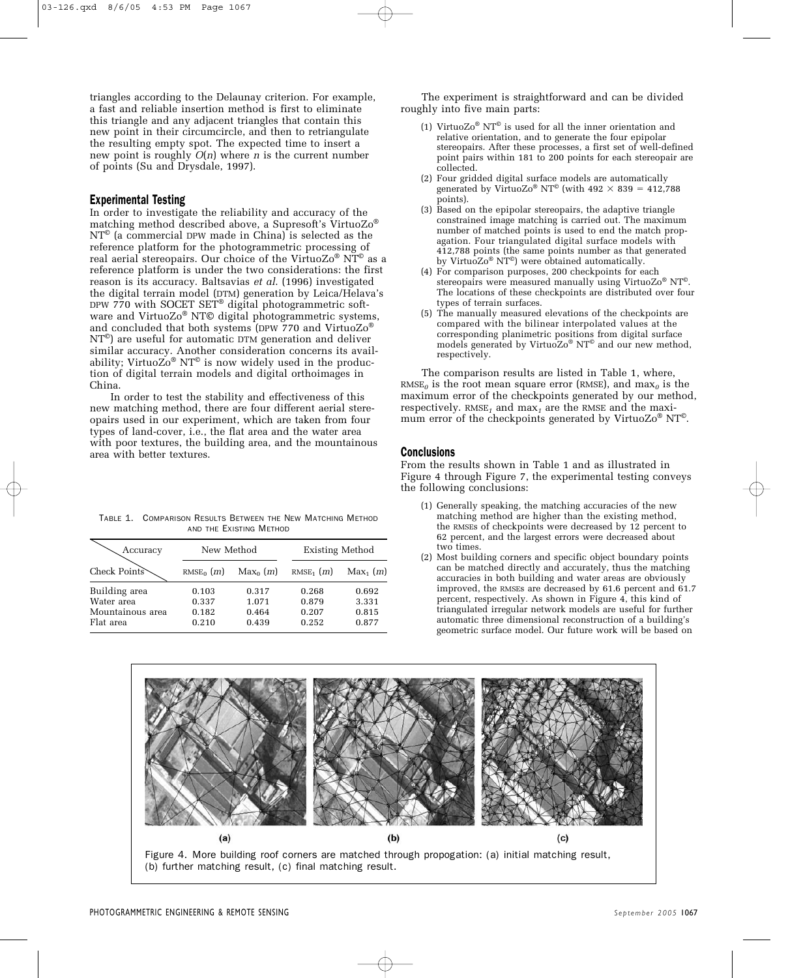triangles according to the Delaunay criterion. For example, a fast and reliable insertion method is first to eliminate this triangle and any adjacent triangles that contain this new point in their circumcircle, and then to retriangulate the resulting empty spot. The expected time to insert a new point is roughly *O*(*n*) where *n* is the current number of points (Su and Drysdale, 1997).

# Experimental Testing

In order to investigate the reliability and accuracy of the matching method described above, a Supresoft's VirtuoZo® NT© (a commercial DPW made in China) is selected as the reference platform for the photogrammetric processing of real aerial stereopairs. Our choice of the VirtuoZo<sup>®</sup> NT<sup>®</sup> as a reference platform is under the two considerations: the first reason is its accuracy. Baltsavias *et al*. (1996) investigated the digital terrain model (DTM) generation by Leica/Helava's DPW 770 with SOCET SET<sup>®</sup> digital photogrammetric software and VirtuoZo® NT© digital photogrammetric systems, and concluded that both systems (DPW 770 and VirtuoZo® NT©) are useful for automatic DTM generation and deliver similar accuracy. Another consideration concerns its availability; Virtuo $Z^o$ <sup>®</sup> NT<sup>®</sup> is now widely used in the production of digital terrain models and digital orthoimages in China.

In order to test the stability and effectiveness of this new matching method, there are four different aerial stereopairs used in our experiment, which are taken from four types of land-cover, i.e., the flat area and the water area with poor textures, the building area, and the mountainous area with better textures.

TABLE 1. COMPARISON RESULTS BETWEEN THE NEW MATCHING METHOD AND THE EXISTING METHOD

| Accuracy                                                     | New Method                       |                                  | <b>Existing Method</b>           |                                  |
|--------------------------------------------------------------|----------------------------------|----------------------------------|----------------------------------|----------------------------------|
| Check Points                                                 | $RMSE0$ $(m)$                    | $Max_{0}$ ( <i>m</i> )           | RMSE <sub>1</sub> $(m)$          | $Max_1(m)$                       |
| Building area<br>Water area<br>Mountainous area<br>Flat area | 0.103<br>0.337<br>0.182<br>0.210 | 0.317<br>1.071<br>0.464<br>0.439 | 0.268<br>0.879<br>0.207<br>0.252 | 0.692<br>3.331<br>0.815<br>0.877 |

The experiment is straightforward and can be divided roughly into five main parts:

- (1) VirtuoZo®  $NT^{\circ}$  is used for all the inner orientation and relative orientation, and to generate the four epipolar stereopairs. After these processes, a first set of well-defined point pairs within 181 to 200 points for each stereopair are collected.
- (2) Four gridded digital surface models are automatically generated by VirtuoZo® NT<sup>®</sup> (with  $492 \times 839 = 412,788$ ) points).
- (3) Based on the epipolar stereopairs, the adaptive triangle constrained image matching is carried out. The maximum number of matched points is used to end the match propagation. Four triangulated digital surface models with 412,788 points (the same points number as that generated by VirtuoZo® NT<sup>®</sup>) were obtained automatically.
- (4) For comparison purposes, 200 checkpoints for each stereopairs were measured manually using VirtuoZo® NT©. The locations of these checkpoints are distributed over four types of terrain surfaces.
- (5) The manually measured elevations of the checkpoints are compared with the bilinear interpolated values at the corresponding planimetric positions from digital surface models generated by VirtuoZo® NT<sup>®</sup> and our new method, respectively.

The comparison results are listed in Table 1, where,  $RMSE<sub>0</sub>$  is the root mean square error (RMSE), and max<sub>0</sub> is the maximum error of the checkpoints generated by our method, respectively. RMSE*<sup>1</sup>* and max*<sup>1</sup>* are the RMSE and the maximum error of the checkpoints generated by VirtuoZo<sup>®</sup> NT<sup>©</sup>.

## **Conclusions**

From the results shown in Table 1 and as illustrated in Figure 4 through Figure 7, the experimental testing conveys the following conclusions:

- (1) Generally speaking, the matching accuracies of the new matching method are higher than the existing method, the RMSEs of checkpoints were decreased by 12 percent to 62 percent, and the largest errors were decreased about two times
- (2) Most building corners and specific object boundary points can be matched directly and accurately, thus the matching accuracies in both building and water areas are obviously improved, the RMSEs are decreased by 61.6 percent and 61.7 percent, respectively. As shown in Figure 4, this kind of triangulated irregular network models are useful for further automatic three dimensional reconstruction of a building's geometric surface model. Our future work will be based on

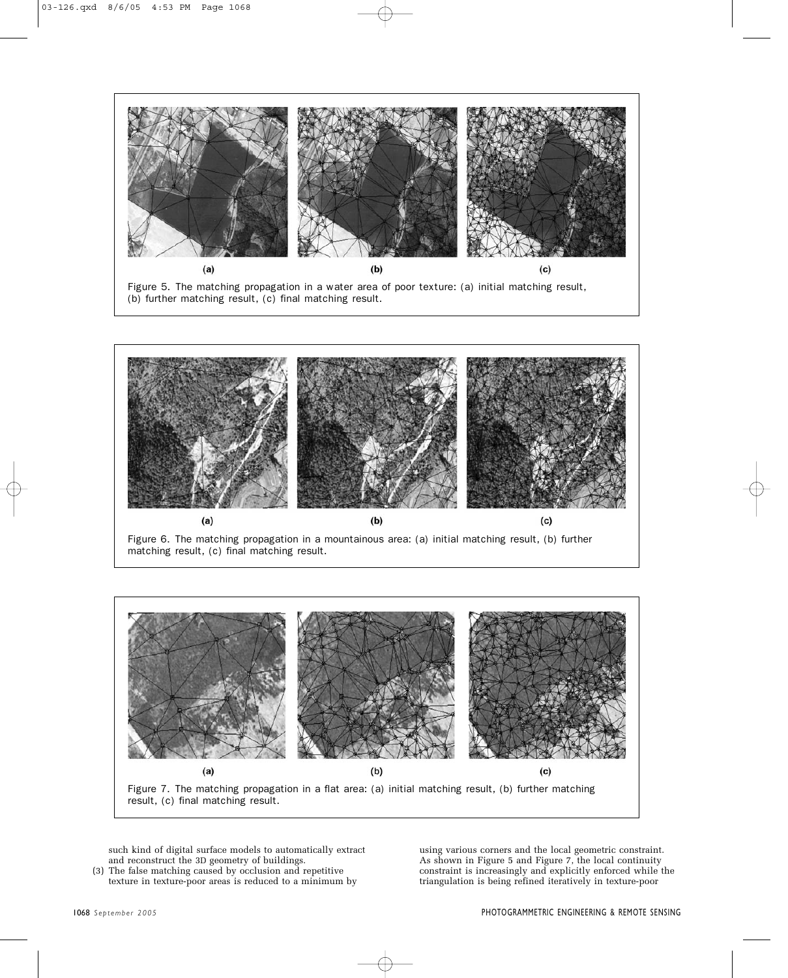

Figure 5. The matching propagation in a water area of poor texture: (a) initial matching result, (b) further matching result, (c) final matching result.





such kind of digital surface models to automatically extract and reconstruct the 3D geometry of buildings.

(3) The false matching caused by occlusion and repetitive texture in texture-poor areas is reduced to a minimum by

using various corners and the local geometric constraint. As shown in Figure 5 and Figure 7, the local continuity constraint is increasingly and explicitly enforced while the triangulation is being refined iteratively in texture-poor